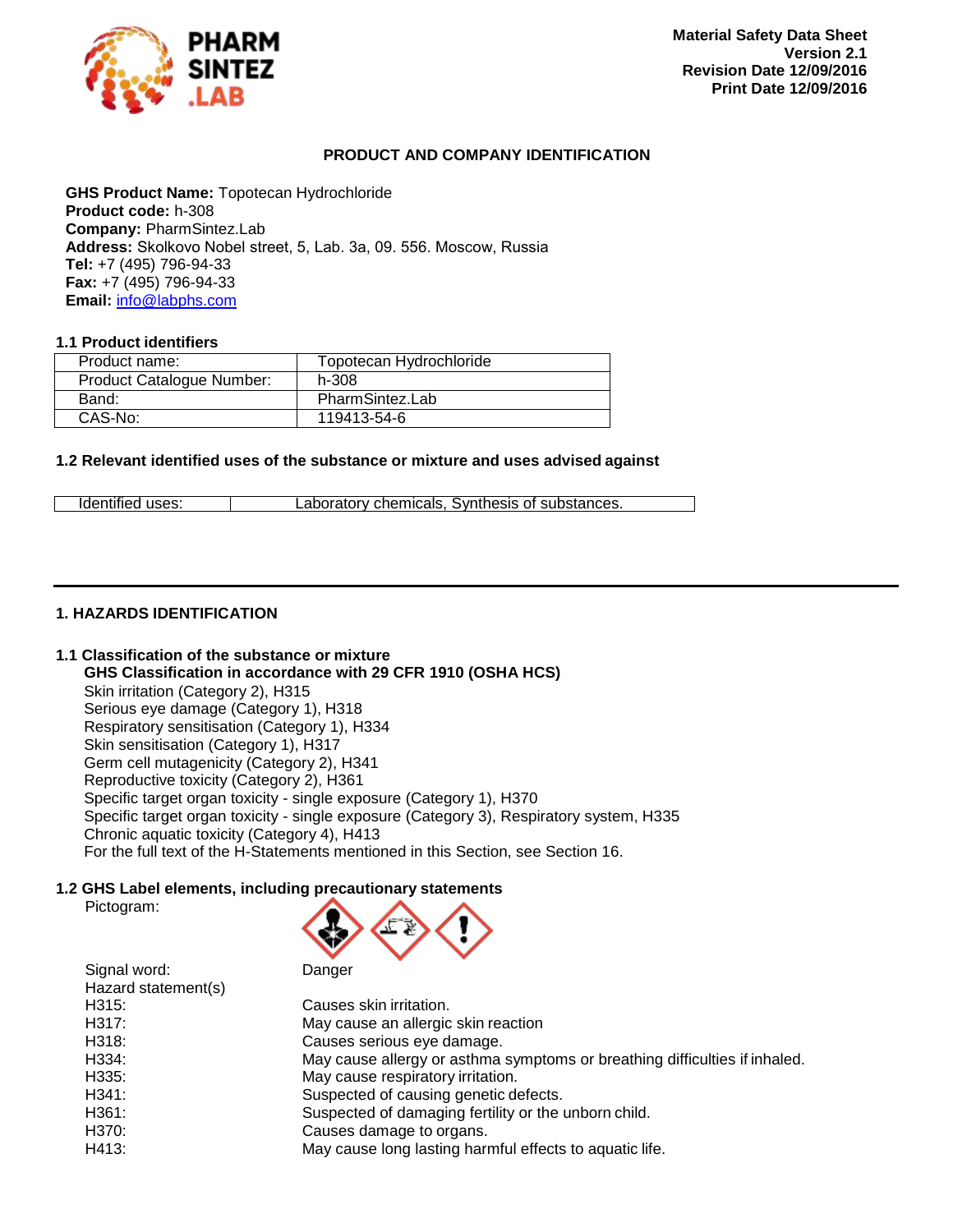

### <span id="page-0-1"></span><span id="page-0-0"></span>**PRODUCT AND COMPANY IDENTIFICATION**

**GHS Product Name:** Topotecan Hydrochloride **Product code:** h-308 **Company:** PharmSintez.Lab **Address:** Skolkovo Nobel street, 5, Lab. 3а, 09. 556. Moscow, Russia **Tel:** +7 (495) 796-94-33 **Fax:** +7 (495) 796-94-33 **Email:** [info@labphs.com](mailto:info@labphs.com)

### **1.1 Product identifiers**

| Product name:             | Topotecan Hydrochloride |
|---------------------------|-------------------------|
| Product Catalogue Number: | h-308                   |
| Band:                     | PharmSintez.Lab         |
| CAS-No:                   | 119413-54-6             |

### **1.2 Relevant identified uses of the substance or mixture and uses advised against**

| Identified uses: | Laboratory chemicals. Synthesis of substances. |  |
|------------------|------------------------------------------------|--|

### **1. HAZARDS IDENTIFICATION**

Pictogram:

### **1.1 Classification of the substance or mixture**

**GHS Classification in accordance with 29 CFR 1910 (OSHA HCS)**

Skin irritation (Category 2), H315 Serious eye damage (Category 1), H318 Respiratory sensitisation (Category 1), H334 Skin sensitisation (Category 1), H317 Germ cell mutagenicity (Category 2), H341 Reproductive toxicity (Category 2), H361 Specific target organ toxicity - single exposure (Category 1), H370 Specific target organ toxicity - single exposure (Category 3), Respiratory system, H335

Chronic aquatic toxicity (Category 4), H413

# **1.2 GHS Label elements, including precautionary statements**



For the full text of the H-Statements mentioned in this Section, see Section 16.

| Hazard statement(s) |                                                                            |
|---------------------|----------------------------------------------------------------------------|
| H315:               | Causes skin irritation.                                                    |
| H317:               | May cause an allergic skin reaction                                        |
| H318:               | Causes serious eye damage.                                                 |
| H334:               | May cause allergy or asthma symptoms or breathing difficulties if inhaled. |
| H335:               | May cause respiratory irritation.                                          |
| H341:               | Suspected of causing genetic defects.                                      |
| H361:               | Suspected of damaging fertility or the unborn child.                       |
| H370:               | Causes damage to organs.                                                   |
| H413:               | May cause long lasting harmful effects to aquatic life.                    |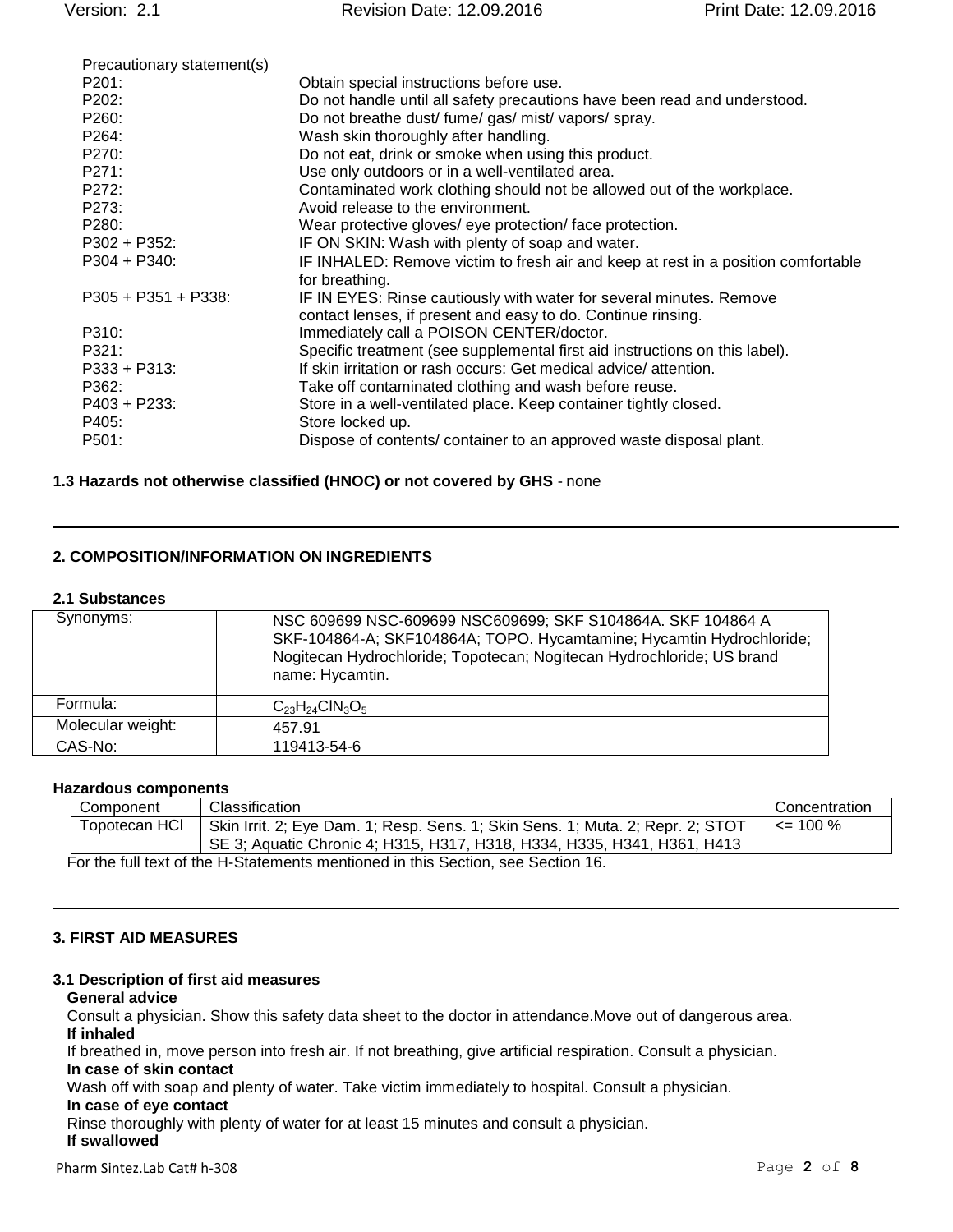| Precautionary statement(s) |                                                                                   |
|----------------------------|-----------------------------------------------------------------------------------|
| P201:                      | Obtain special instructions before use.                                           |
| P202:                      | Do not handle until all safety precautions have been read and understood.         |
| P <sub>260</sub> :         | Do not breathe dust/ fume/ gas/ mist/ vapors/ spray.                              |
| P264:                      | Wash skin thoroughly after handling.                                              |
| P270:                      | Do not eat, drink or smoke when using this product.                               |
| P271:                      | Use only outdoors or in a well-ventilated area.                                   |
| P272:                      | Contaminated work clothing should not be allowed out of the workplace.            |
| P273:                      | Avoid release to the environment.                                                 |
| P280:                      | Wear protective gloves/ eye protection/face protection.                           |
| $P302 + P352$ :            | IF ON SKIN: Wash with plenty of soap and water.                                   |
| $P304 + P340$ :            | IF INHALED: Remove victim to fresh air and keep at rest in a position comfortable |
|                            | for breathing.                                                                    |
| $P305 + P351 + P338$       | IF IN EYES: Rinse cautiously with water for several minutes. Remove               |
|                            | contact lenses, if present and easy to do. Continue rinsing.                      |
| P310:                      | Immediately call a POISON CENTER/doctor.                                          |
| P321:                      | Specific treatment (see supplemental first aid instructions on this label).       |
| P333 + P313:               | If skin irritation or rash occurs: Get medical advice/attention.                  |
| P362:                      | Take off contaminated clothing and wash before reuse.                             |
| $P403 + P233$ :            | Store in a well-ventilated place. Keep container tightly closed.                  |
| P405:                      | Store locked up.                                                                  |
| P501:                      | Dispose of contents/ container to an approved waste disposal plant.               |
|                            |                                                                                   |

#### **1.3 Hazards not otherwise classified (HNOC) or not covered by GHS** - none

### **2. COMPOSITION/INFORMATION ON INGREDIENTS**

#### **2.1 Substances**

| Synonyms:         | NSC 609699 NSC-609699 NSC609699; SKF S104864A. SKF 104864 A<br>SKF-104864-A; SKF104864A; TOPO. Hycamtamine; Hycamtin Hydrochloride;<br>Nogitecan Hydrochloride; Topotecan; Nogitecan Hydrochloride; US brand<br>name: Hycamtin. |
|-------------------|---------------------------------------------------------------------------------------------------------------------------------------------------------------------------------------------------------------------------------|
| Formula:          | $C_{23}H_{24}CIN_3O_5$                                                                                                                                                                                                          |
| Molecular weight: | 457.91                                                                                                                                                                                                                          |
| CAS-No:           | 119413-54-6                                                                                                                                                                                                                     |

### **Hazardous components**

| Component                                                                       | Classification                                                                 | Concentration |
|---------------------------------------------------------------------------------|--------------------------------------------------------------------------------|---------------|
| Topotecan HCI                                                                   | Skin Irrit. 2; Eye Dam. 1; Resp. Sens. 1; Skin Sens. 1; Muta. 2; Repr. 2; STOT | $\leq$ 100 %  |
|                                                                                 | SE 3; Aquatic Chronic 4; H315, H317, H318, H334, H335, H341, H361, H413        |               |
| For the full text of the H-Statements mentioned in this Section, see Section 16 |                                                                                |               |

For the full text of the H-Statements mentioned in this Section, see Section 16.

### **3. FIRST AID MEASURES**

#### **3.1 Description of first aid measures**

#### **General advice**

Consult a physician. Show this safety data sheet to the doctor in attendance.Move out of dangerous area. **If inhaled**

If breathed in, move person into fresh air. If not breathing, give artificial respiration. Consult a physician.

# **In case of skin contact**

Wash off with soap and plenty of water. Take victim immediately to hospital. Consult a physician.

### **In case of eye contact**

Rinse thoroughly with plenty of water for at least 15 minutes and consult a physician.

## **If swallowed**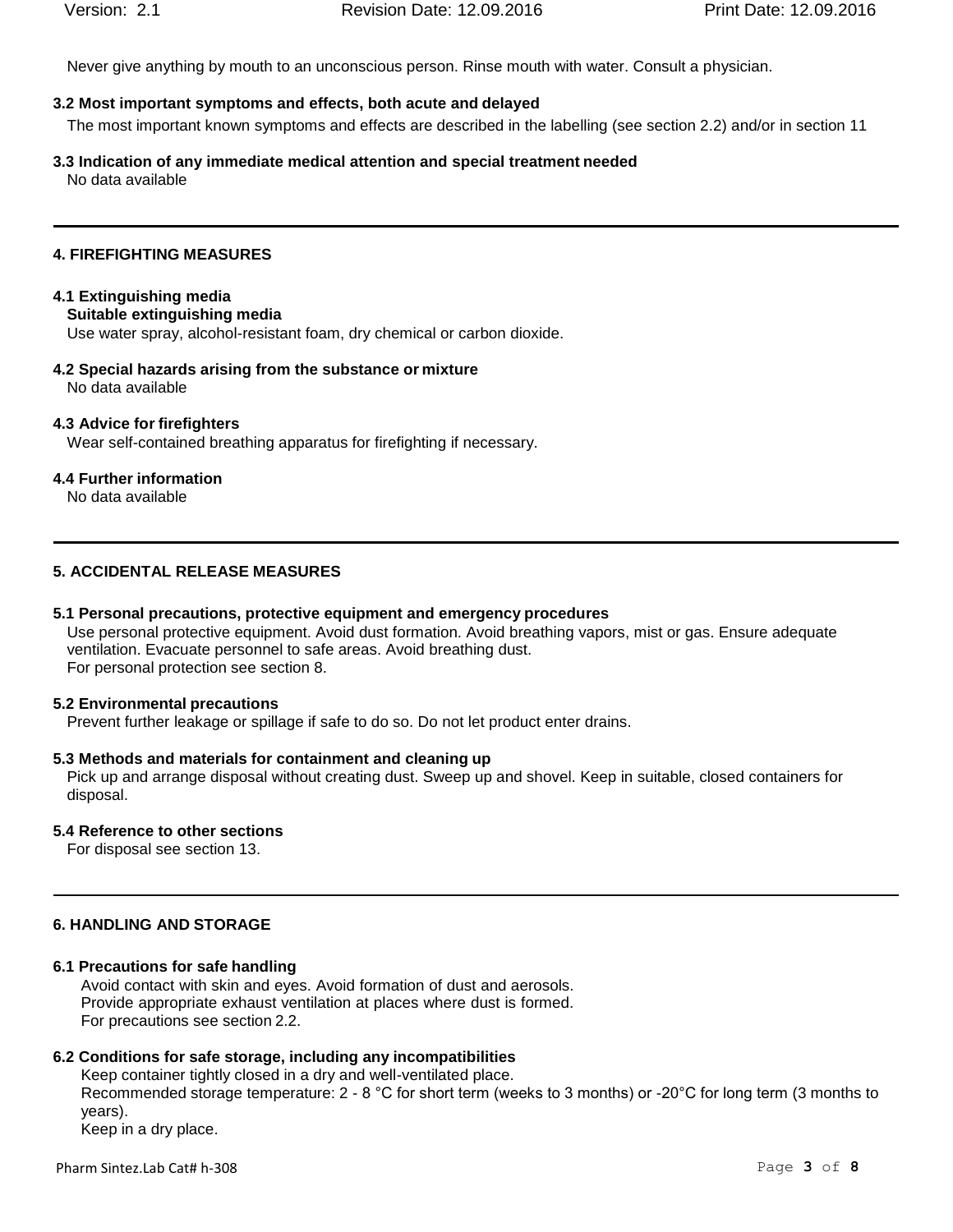Never give anything by mouth to an unconscious person. Rinse mouth with water. Consult a physician.

# **3.2 Most important symptoms and effects, both acute and delayed**

The most important known symptoms and effects are described in the labelling (see section 2.2) and/or in section 11

**3.3 Indication of any immediate medical attention and special treatment needed** No data available

# **4. FIREFIGHTING MEASURES**

# **4.1 Extinguishing media**

**Suitable extinguishing media**

Use water spray, alcohol-resistant foam, dry chemical or carbon dioxide.

**4.2 Special hazards arising from the substance or mixture** No data available

# **4.3 Advice for firefighters**

Wear self-contained breathing apparatus for firefighting if necessary.

# **4.4 Further information**

No data available

# **5. ACCIDENTAL RELEASE MEASURES**

# **5.1 Personal precautions, protective equipment and emergency procedures**

Use personal protective equipment. Avoid dust formation. Avoid breathing vapors, mist or gas. Ensure adequate ventilation. Evacuate personnel to safe areas. Avoid breathing dust. For personal protection see section 8.

# **5.2 Environmental precautions**

Prevent further leakage or spillage if safe to do so. Do not let product enter drains.

# **5.3 Methods and materials for containment and cleaning up**

Pick up and arrange disposal without creating dust. Sweep up and shovel. Keep in suitable, closed containers for disposal.

# **5.4 Reference to other sections**

For disposal see section 13.

# **6. HANDLING AND STORAGE**

# **6.1 Precautions for safe handling**

Avoid contact with skin and eyes. Avoid formation of dust and aerosols. Provide appropriate exhaust ventilation at places where dust is formed. For precautions see section 2.2.

# **6.2 Conditions for safe storage, including any incompatibilities**

Keep container tightly closed in a dry and well-ventilated place. Recommended storage temperature: 2 - 8 °C for short term (weeks to 3 months) or -20°C for long term (3 months to years). Keep in a dry place.

Pharm Sintez.Lab Cat# [h-308](#page-0-0) Page **3** of **8**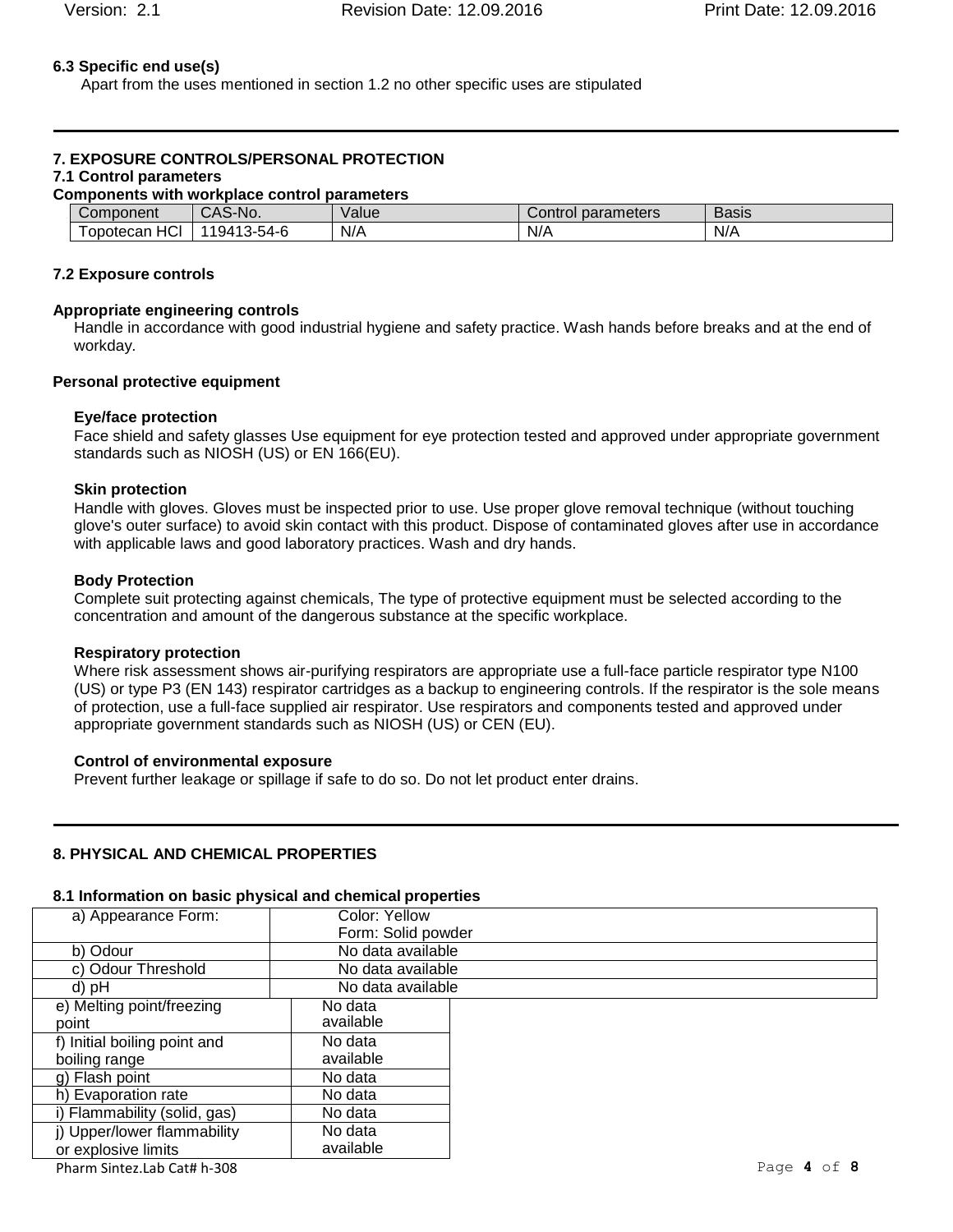### **6.3 Specific end use(s)**

Apart from the uses mentioned in section 1.2 no other specific uses are stipulated

# **7. EXPOSURE CONTROLS/PERSONAL PROTECTION**

## **7.1 Control parameters**

| Components with workplace control parameters |             |        |                    |              |
|----------------------------------------------|-------------|--------|--------------------|--------------|
| Component                                    | CAS-No.     | Valuel | Control parameters | <b>Basis</b> |
| HCI<br>opotecan                              | 119413-54-6 | N/A    | N/A                | N/A          |

#### **7.2 Exposure controls**

#### **Appropriate engineering controls**

Handle in accordance with good industrial hygiene and safety practice. Wash hands before breaks and at the end of workday.

#### **Personal protective equipment**

#### **Eye/face protection**

Face shield and safety glasses Use equipment for eye protection tested and approved under appropriate government standards such as NIOSH (US) or EN 166(EU).

#### **Skin protection**

Handle with gloves. Gloves must be inspected prior to use. Use proper glove removal technique (without touching glove's outer surface) to avoid skin contact with this product. Dispose of contaminated gloves after use in accordance with applicable laws and good laboratory practices. Wash and dry hands.

#### **Body Protection**

Complete suit protecting against chemicals, The type of protective equipment must be selected according to the concentration and amount of the dangerous substance at the specific workplace.

#### **Respiratory protection**

Where risk assessment shows air-purifying respirators are appropriate use a full-face particle respirator type N100 (US) or type P3 (EN 143) respirator cartridges as a backup to engineering controls. If the respirator is the sole means of protection, use a full-face supplied air respirator. Use respirators and components tested and approved under appropriate government standards such as NIOSH (US) or CEN (EU).

#### **Control of environmental exposure**

Prevent further leakage or spillage if safe to do so. Do not let product enter drains.

#### **8. PHYSICAL AND CHEMICAL PROPERTIES**

#### **8.1 Information on basic physical and chemical properties**

| a) Appearance Form:          | Color: Yellow      |  |
|------------------------------|--------------------|--|
|                              | Form: Solid powder |  |
| b) Odour                     | No data available  |  |
| c) Odour Threshold           | No data available  |  |
| d) pH                        | No data available  |  |
| e) Melting point/freezing    | No data            |  |
| point                        | available          |  |
| f) Initial boiling point and | No data            |  |
| boiling range                | available          |  |
| g) Flash point               | No data            |  |
| h) Evaporation rate          | No data            |  |
| i) Flammability (solid, gas) | No data            |  |
| j) Upper/lower flammability  | No data            |  |
| or explosive limits          | available          |  |

Pharm Sintez.Lab Cat# [h-308](#page-0-0) Page **4** of **8**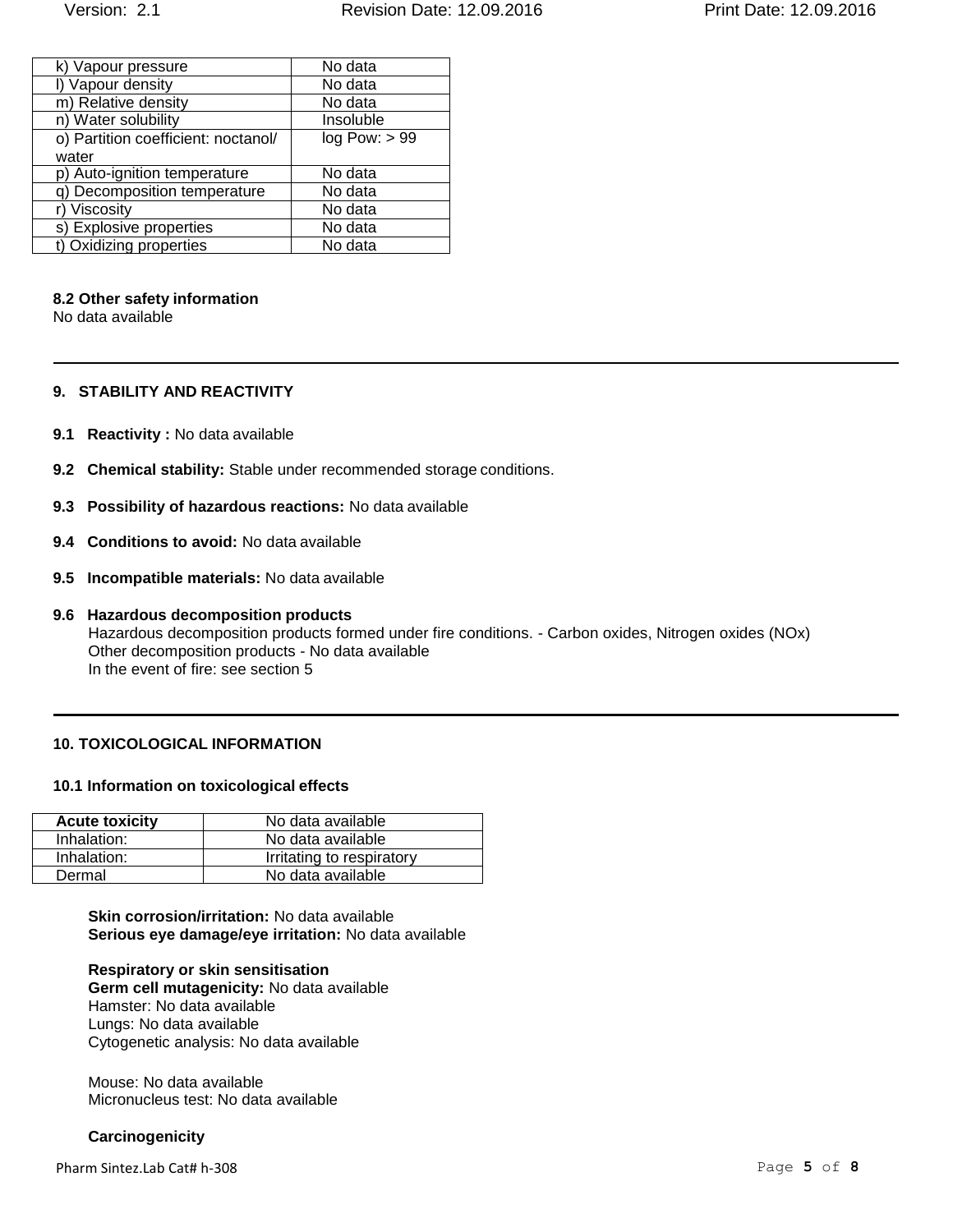| k) Vapour pressure                  | No data       |
|-------------------------------------|---------------|
| I) Vapour density                   | No data       |
| m) Relative density                 | No data       |
| n) Water solubility                 | Insoluble     |
| o) Partition coefficient: noctanol/ | log Pow: > 99 |
| water                               |               |
| p) Auto-ignition temperature        | No data       |
| q) Decomposition temperature        | No data       |
| Viscosity                           | No data       |
| s) Explosive properties             | No data       |
| t) Oxidizing properties             | No data       |

#### **8.2 Other safety information**

No data available

#### **9. STABILITY AND REACTIVITY**

- **9.1 Reactivity :** No data available
- **9.2 Chemical stability:** Stable under recommended storage conditions.
- **9.3 Possibility of hazardous reactions:** No data available
- **9.4 Conditions to avoid:** No data available
- **9.5 Incompatible materials:** No data available
- **9.6 Hazardous decomposition products** Hazardous decomposition products formed under fire conditions. - Carbon oxides, Nitrogen oxides (NOx) Other decomposition products - No data available In the event of fire: see section 5

### **10. TOXICOLOGICAL INFORMATION**

#### **10.1 Information on toxicological effects**

| <b>Acute toxicity</b> | No data available         |
|-----------------------|---------------------------|
| Inhalation:           | No data available         |
| Inhalation:           | Irritating to respiratory |
| Dermal                | No data available         |

**Skin corrosion/irritation:** No data available **Serious eye damage/eye irritation:** No data available

**Respiratory or skin sensitisation Germ cell mutagenicity:** No data available Hamster: No data available Lungs: No data available Cytogenetic analysis: No data available

Mouse: No data available Micronucleus test: No data available

#### **Carcinogenicity**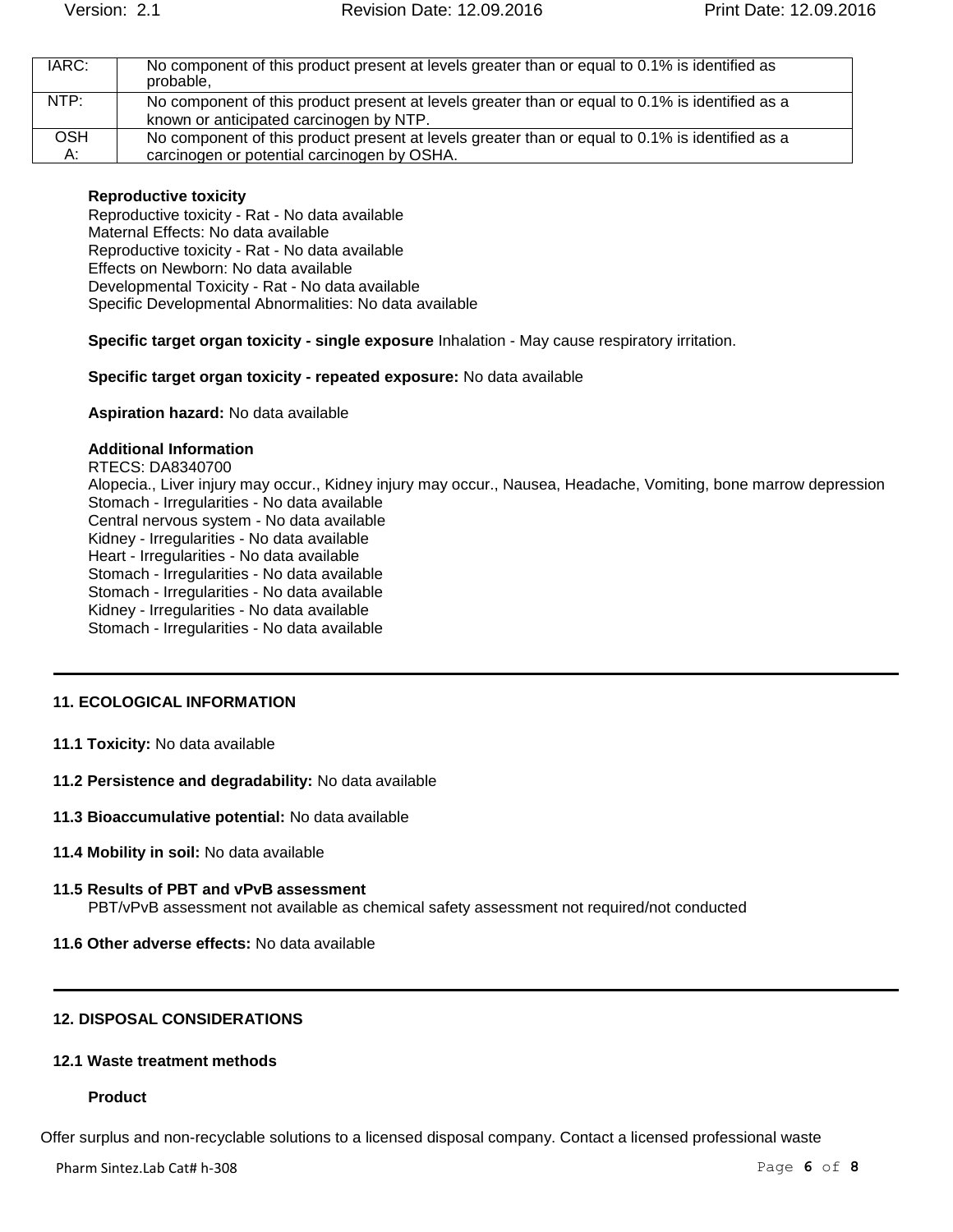| IARC:      | No component of this product present at levels greater than or equal to 0.1% is identified as<br>probable. |
|------------|------------------------------------------------------------------------------------------------------------|
| NTP:       | No component of this product present at levels greater than or equal to 0.1% is identified as a            |
|            | known or anticipated carcinogen by NTP.                                                                    |
| <b>OSH</b> | No component of this product present at levels greater than or equal to 0.1% is identified as a            |
| А:         | carcinogen or potential carcinogen by OSHA.                                                                |

#### **Reproductive toxicity**

Reproductive toxicity - Rat - No data available Maternal Effects: No data available Reproductive toxicity - Rat - No data available Effects on Newborn: No data available Developmental Toxicity - Rat - No data available Specific Developmental Abnormalities: No data available

**Specific target organ toxicity - single exposure** Inhalation - May cause respiratory irritation.

#### **Specific target organ toxicity - repeated exposure:** No data available

**Aspiration hazard:** No data available

#### **Additional Information**

RTECS: DA8340700 Alopecia., Liver injury may occur., Kidney injury may occur., Nausea, Headache, Vomiting, bone marrow depression Stomach - Irregularities - No data available Central nervous system - No data available Kidney - Irregularities - No data available Heart - Irregularities - No data available Stomach - Irregularities - No data available Stomach - Irregularities - No data available Kidney - Irregularities - No data available Stomach - Irregularities - No data available

#### **11. ECOLOGICAL INFORMATION**

- **11.1 Toxicity:** No data available
- **11.2 Persistence and degradability:** No data available
- **11.3 Bioaccumulative potential:** No data available
- **11.4 Mobility in soil:** No data available
- **11.5 Results of PBT and vPvB assessment** PBT/vPvB assessment not available as chemical safety assessment not required/not conducted
- **11.6 Other adverse effects:** No data available

#### **12. DISPOSAL CONSIDERATIONS**

### **12.1 Waste treatment methods**

#### **Product**

Offer surplus and non-recyclable solutions to a licensed disposal company. Contact a licensed professional waste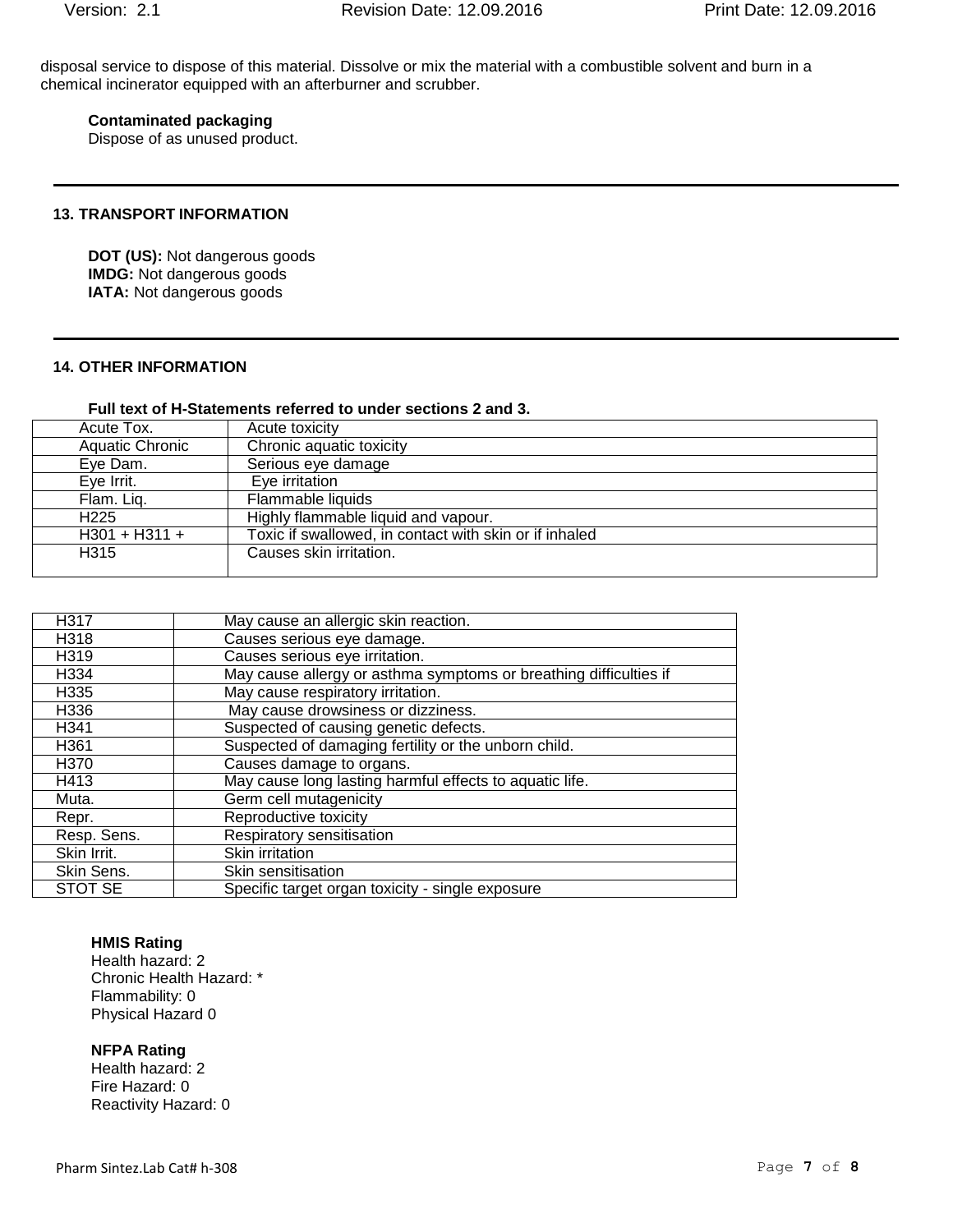disposal service to dispose of this material. Dissolve or mix the material with a combustible solvent and burn in a chemical incinerator equipped with an afterburner and scrubber.

## **Contaminated packaging**

Dispose of as unused product.

#### **13. TRANSPORT INFORMATION**

**DOT (US):** Not dangerous goods **IMDG:** Not dangerous goods **IATA: Not dangerous goods** 

## **14. OTHER INFORMATION**

#### **Full text of H-Statements referred to under sections 2 and 3.**

| Acute Tox.             | Acute toxicity                                         |
|------------------------|--------------------------------------------------------|
| <b>Aquatic Chronic</b> | Chronic aquatic toxicity                               |
| Eye Dam.               | Serious eye damage                                     |
| Eye Irrit.             | Eve irritation                                         |
| Flam. Liq.             | Flammable liquids                                      |
| H <sub>225</sub>       | Highly flammable liquid and vapour.                    |
| $H301 + H311 +$        | Toxic if swallowed, in contact with skin or if inhaled |
| H315                   | Causes skin irritation.                                |
|                        |                                                        |

| H317        | May cause an allergic skin reaction.                              |
|-------------|-------------------------------------------------------------------|
| H318        | Causes serious eye damage.                                        |
| H319        | Causes serious eye irritation.                                    |
| H334        | May cause allergy or asthma symptoms or breathing difficulties if |
| H335        | May cause respiratory irritation.                                 |
| H336        | May cause drowsiness or dizziness.                                |
| H341        | Suspected of causing genetic defects.                             |
| H361        | Suspected of damaging fertility or the unborn child.              |
| H370        | Causes damage to organs.                                          |
| H413        | May cause long lasting harmful effects to aquatic life.           |
| Muta.       | Germ cell mutagenicity                                            |
| Repr.       | Reproductive toxicity                                             |
| Resp. Sens. | Respiratory sensitisation                                         |
| Skin Irrit. | Skin irritation                                                   |
| Skin Sens.  | Skin sensitisation                                                |
| STOT SE     | Specific target organ toxicity - single exposure                  |

#### **HMIS Rating**

Health hazard: 2 Chronic Health Hazard: \* Flammability: 0 Physical Hazard 0

#### **NFPA Rating**

Health hazard: 2 Fire Hazard: 0 Reactivity Hazard: 0